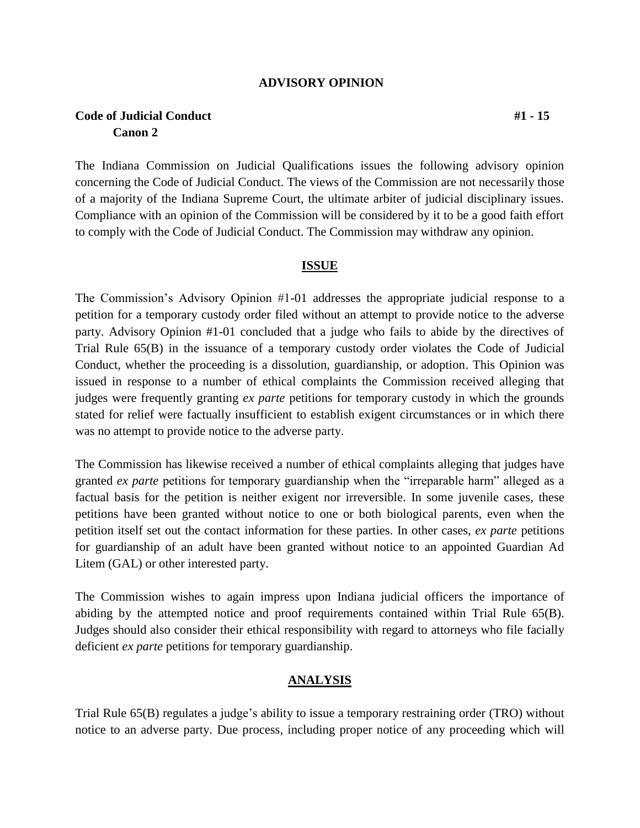#### **ADVISORY OPINION**

# **Code of Judicial Conduct #1 - 15 Canon 2**

The Indiana Commission on Judicial Qualifications issues the following advisory opinion concerning the Code of Judicial Conduct. The views of the Commission are not necessarily those of a majority of the Indiana Supreme Court, the ultimate arbiter of judicial disciplinary issues. Compliance with an opinion of the Commission will be considered by it to be a good faith effort to comply with the Code of Judicial Conduct. The Commission may withdraw any opinion.

#### **ISSUE**

The Commission's Advisory Opinion #1-01 addresses the appropriate judicial response to a petition for a temporary custody order filed without an attempt to provide notice to the adverse party. Advisory Opinion #1-01 concluded that a judge who fails to abide by the directives of Trial Rule 65(B) in the issuance of a temporary custody order violates the Code of Judicial Conduct, whether the proceeding is a dissolution, guardianship, or adoption. This Opinion was issued in response to a number of ethical complaints the Commission received alleging that judges were frequently granting *ex parte* petitions for temporary custody in which the grounds stated for relief were factually insufficient to establish exigent circumstances or in which there was no attempt to provide notice to the adverse party.

The Commission has likewise received a number of ethical complaints alleging that judges have granted *ex parte* petitions for temporary guardianship when the "irreparable harm" alleged as a factual basis for the petition is neither exigent nor irreversible. In some juvenile cases, these petitions have been granted without notice to one or both biological parents, even when the petition itself set out the contact information for these parties. In other cases, *ex parte* petitions for guardianship of an adult have been granted without notice to an appointed Guardian Ad Litem (GAL) or other interested party.

The Commission wishes to again impress upon Indiana judicial officers the importance of abiding by the attempted notice and proof requirements contained within Trial Rule 65(B). Judges should also consider their ethical responsibility with regard to attorneys who file facially deficient *ex parte* petitions for temporary guardianship.

### **ANALYSIS**

Trial Rule 65(B) regulates a judge's ability to issue a temporary restraining order (TRO) without notice to an adverse party. Due process, including proper notice of any proceeding which will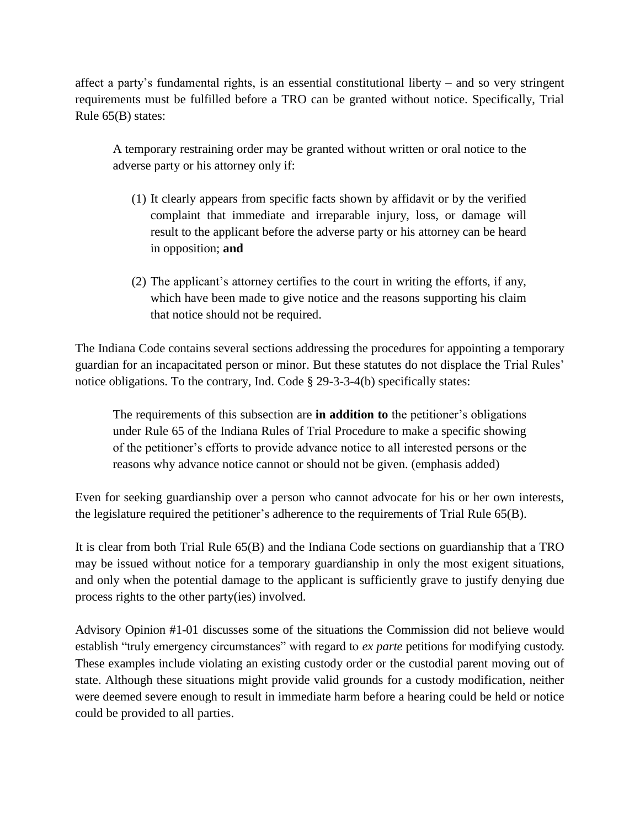affect a party's fundamental rights, is an essential constitutional liberty – and so very stringent requirements must be fulfilled before a TRO can be granted without notice. Specifically, Trial Rule 65(B) states:

A temporary restraining order may be granted without written or oral notice to the adverse party or his attorney only if:

- (1) It clearly appears from specific facts shown by affidavit or by the verified complaint that immediate and irreparable injury, loss, or damage will result to the applicant before the adverse party or his attorney can be heard in opposition; **and**
- (2) The applicant's attorney certifies to the court in writing the efforts, if any, which have been made to give notice and the reasons supporting his claim that notice should not be required.

The Indiana Code contains several sections addressing the procedures for appointing a temporary guardian for an incapacitated person or minor. But these statutes do not displace the Trial Rules' notice obligations. To the contrary, Ind. Code § 29-3-3-4(b) specifically states:

The requirements of this subsection are **in addition to** the petitioner's obligations under Rule 65 of the Indiana Rules of Trial Procedure to make a specific showing of the petitioner's efforts to provide advance notice to all interested persons or the reasons why advance notice cannot or should not be given. (emphasis added)

Even for seeking guardianship over a person who cannot advocate for his or her own interests, the legislature required the petitioner's adherence to the requirements of Trial Rule 65(B).

It is clear from both Trial Rule 65(B) and the Indiana Code sections on guardianship that a TRO may be issued without notice for a temporary guardianship in only the most exigent situations, and only when the potential damage to the applicant is sufficiently grave to justify denying due process rights to the other party(ies) involved.

Advisory Opinion #1-01 discusses some of the situations the Commission did not believe would establish "truly emergency circumstances" with regard to *ex parte* petitions for modifying custody. These examples include violating an existing custody order or the custodial parent moving out of state. Although these situations might provide valid grounds for a custody modification, neither were deemed severe enough to result in immediate harm before a hearing could be held or notice could be provided to all parties.